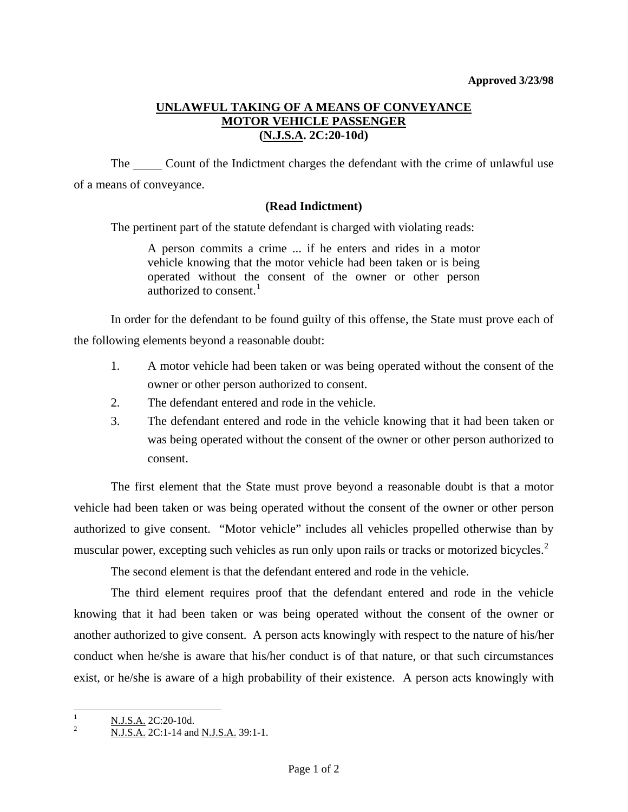## **UNLAWFUL TAKING OF A MEANS OF CONVEYANCE MOTOR VEHICLE PASSENGER (N.J.S.A. 2C:20-10d)**

The Count of the Indictment charges the defendant with the crime of unlawful use of a means of conveyance.

## **(Read Indictment)**

The pertinent part of the statute defendant is charged with violating reads:

A person commits a crime ... if he enters and rides in a motor vehicle knowing that the motor vehicle had been taken or is being operated without the consent of the owner or other person authorized to consent.<sup>[1](#page-0-0)</sup>

 In order for the defendant to be found guilty of this offense, the State must prove each of the following elements beyond a reasonable doubt:

- 1. A motor vehicle had been taken or was being operated without the consent of the owner or other person authorized to consent.
- 2. The defendant entered and rode in the vehicle.
- 3. The defendant entered and rode in the vehicle knowing that it had been taken or was being operated without the consent of the owner or other person authorized to consent.

 The first element that the State must prove beyond a reasonable doubt is that a motor vehicle had been taken or was being operated without the consent of the owner or other person authorized to give consent. "Motor vehicle" includes all vehicles propelled otherwise than by muscular power, excepting such vehicles as run only upon rails or tracks or motorized bicycles.<sup>[2](#page-0-1)</sup>

The second element is that the defendant entered and rode in the vehicle.

 The third element requires proof that the defendant entered and rode in the vehicle knowing that it had been taken or was being operated without the consent of the owner or another authorized to give consent. A person acts knowingly with respect to the nature of his/her conduct when he/she is aware that his/her conduct is of that nature, or that such circumstances exist, or he/she is aware of a high probability of their existence. A person acts knowingly with

<span id="page-0-0"></span> $\frac{1}{1}$  $\frac{N.J.S.A.}{N.I.S.A.}$  2C:20-10d.

<span id="page-0-1"></span>N.J.S.A. 2C:1-14 and N.J.S.A. 39:1-1.